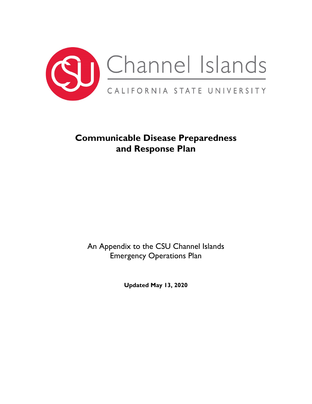

# **Communicable Disease Preparedness and Response Plan**

An Appendix to the CSU Channel Islands Emergency Operations Plan

**Updated May 13, 2020**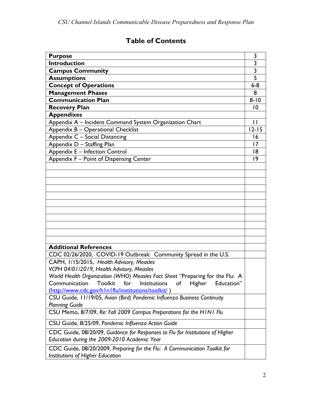# **Table of Contents**

| <b>Purpose</b>                                                                                                | 3                       |
|---------------------------------------------------------------------------------------------------------------|-------------------------|
| <b>Introduction</b>                                                                                           | $\overline{3}$          |
| <b>Campus Community</b>                                                                                       | $\overline{\mathbf{3}}$ |
| <b>Assumptions</b>                                                                                            | 5                       |
| <b>Concept of Operations</b>                                                                                  | $6-8$                   |
| <b>Management Phases</b>                                                                                      | 8                       |
| <b>Communication Plan</b>                                                                                     | $8 - 10$                |
| <b>Recovery Plan</b>                                                                                          | $\overline{10}$         |
| <b>Appendixes</b>                                                                                             |                         |
| Appendix A - Incident Command System Organization Chart                                                       | $\mathbf{H}$            |
| Appendix B - Operational Checklist                                                                            | $12 - 15$               |
| Appendix C - Social Distancing                                                                                | 16                      |
| Appendix D - Staffing Plan                                                                                    | $\overline{17}$         |
| Appendix E - Infection Control                                                                                | 8                       |
| Appendix F - Point of Dispensing Center                                                                       | $ 9\rangle$             |
|                                                                                                               |                         |
|                                                                                                               |                         |
|                                                                                                               |                         |
|                                                                                                               |                         |
|                                                                                                               |                         |
|                                                                                                               |                         |
|                                                                                                               |                         |
|                                                                                                               |                         |
|                                                                                                               |                         |
|                                                                                                               |                         |
|                                                                                                               |                         |
| <b>Additional References</b>                                                                                  |                         |
| CDC 02/26/2020, COVID-19 Outbreak: Community Spread in the U.S.                                               |                         |
| CAPH, 1/15/2015, Health Advisory, Measles                                                                     |                         |
| VCPH 04/01/2019, Health Advisory, Measles                                                                     |                         |
| World Health Organization (WHO) Measles Fact Sheet "Preparing for the Flu: A                                  |                         |
| Institutions<br>of<br>Communication<br>Toolkit<br>for<br>Higher<br>Education <sup>'</sup>                     |                         |
| (http://www.cdc.gov/h I n I flu/institutions/toolkit/)                                                        |                         |
| CSU Guide, 11/19/05, Avian (Bird) Pandemic Influenza Business Continuity                                      |                         |
| <b>Planning Guide</b>                                                                                         |                         |
| CSU Memo, 8/7/09, Re: Fall 2009 Campus Preparations for the HINI Flu                                          |                         |
| CSU Guide, 8/25/09, Pandemic Influenza Action Guide                                                           |                         |
| CDC Guide, 08/20/09, Guidance for Responses to Flu for Institutions of Higher                                 |                         |
| Education during the 2009-2010 Academic Year                                                                  |                         |
| CDC Guide, 08/20/2009, Preparing for the Flu: A Communication Toolkit for<br>Institutions of Higher Education |                         |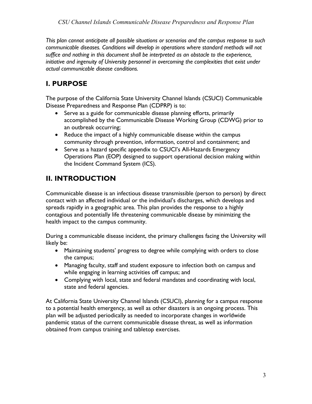*This plan cannot anticipate all possible situations or scenarios and the campus response to such communicable diseases. Conditions will develop in operations where standard methods will not suffice and nothing in this document shall be interpreted as an obstacle to the experience, initiative and ingenuity of University personnel in overcoming the complexities that exist under actual communicable disease conditions.*

# **I. PURPOSE**

The purpose of the California State University Channel Islands (CSUCI) Communicable Disease Preparedness and Response Plan (CDPRP) is to:

- Serve as a guide for communicable disease planning efforts, primarily accomplished by the Communicable Disease Working Group (CDWG) prior to an outbreak occurring;
- Reduce the impact of a highly communicable disease within the campus community through prevention, information, control and containment; and
- Serve as a hazard specific appendix to CSUCI's All-Hazards Emergency Operations Plan (EOP) designed to support operational decision making within the Incident Command System (ICS).

# **II. INTRODUCTION**

Communicable disease is an infectious disease transmissible (person to person) by direct contact with an affected individual or the individual's discharges, which develops and spreads rapidly in a geographic area. This plan provides the response to a highly contagious and potentially life threatening communicable disease by minimizing the health impact to the campus community.

During a communicable disease incident, the primary challenges facing the University will likely be:

- Maintaining students' progress to degree while complying with orders to close the campus;
- Managing faculty, staff and student exposure to infection both on campus and while engaging in learning activities off campus; and
- Complying with local, state and federal mandates and coordinating with local, state and federal agencies.

At California State University Channel Islands (CSUCI), planning for a campus response to a potential health emergency, as well as other disasters is an ongoing process. This plan will be adjusted periodically as needed to incorporate changes in worldwide pandemic status of the current communicable disease threat, as well as information obtained from campus training and tabletop exercises.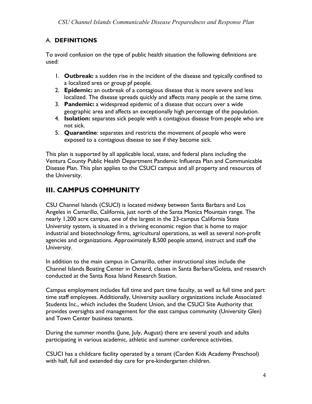### A. **DEFINITIONS**

To avoid confusion on the type of public health situation the following definitions are used:

- 1. **Outbreak:** a sudden rise in the incident of the disease and typically confined to a localized area or group pf people.
- 2. **Epidemic:** an outbreak of a contagious disease that is more severe and less localized. The disease spreads quickly and affects many people at the same time.
- 3. **Pandemic:** a widespread epidemic of a disease that occurs over a wide geographic area and affects an exceptionally high percentage of the population.
- 4. **Isolation:** separates sick people with a contagious disease from people who are not sick.
- 5. **Quarantine**: separates and restricts the movement of people who were exposed to a contagious disease to see if they become sick.

This plan is supported by all applicable local, state, and federal plans including the Ventura County Public Health Department Pandemic Influenza Plan and Communicable Disease Plan. This plan applies to the CSUCI campus and all property and resources of the University.

# **III. CAMPUS COMMUNITY**

CSU Channel Islands (CSUCI) is located midway between Santa Barbara and Los Angeles in Camarillo, California, just north of the Santa Monica Mountain range. The nearly 1,200 acre campus, one of the largest in the 23-campus California State University system, is situated in a thriving economic region that is home to major industrial and biotechnology firms, agricultural operations, as well as several non-profit agencies and organizations. Approximately 8,500 people attend, instruct and staff the University.

In addition to the main campus in Camarillo, other instructional sites include the Channel Islands Boating Center in Oxnard, classes in Santa Barbara/Goleta, and research conducted at the Santa Rosa Island Research Station.

Campus employment includes full time and part time faculty, as well as full time and part time staff employees. Additionally, University auxiliary organizations include Associated Students Inc., which includes the Student Union, and the CSUCI Site Authority that provides oversights and management for the east campus community (University Glen) and Town Center business tenants.

During the summer months (June, July, August) there are several youth and adults participating in various academic, athletic and summer conference activities.

CSUCI has a childcare facility operated by a tenant (Carden Kids Academy Preschool) with half, full and extended day care for pre-kindergarten children.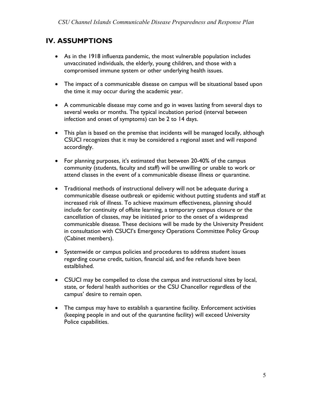## **IV. ASSUMPTIONS**

- As in the 1918 influenza pandemic, the most vulnerable population includes unvaccinated individuals, the elderly, young children, and those with a compromised immune system or other underlying health issues.
- The impact of a communicable disease on campus will be situational based upon the time it may occur during the academic year.
- A communicable disease may come and go in waves lasting from several days to several weeks or months. The typical incubation period (interval between infection and onset of symptoms) can be 2 to 14 days.
- This plan is based on the premise that incidents will be managed locally, although CSUCI recognizes that it may be considered a regional asset and will respond accordingly.
- For planning purposes, it's estimated that between 20-40% of the campus community (students, faculty and staff) will be unwilling or unable to work or attend classes in the event of a communicable disease illness or quarantine.
- Traditional methods of instructional delivery will not be adequate during a communicable disease outbreak or epidemic without putting students and staff at increased risk of illness. To achieve maximum effectiveness, planning should include for continuity of offsite learning, a temporary campus closure or the cancellation of classes, may be initiated prior to the onset of a widespread communicable disease. These decisions will be made by the University President in consultation with CSUCI's Emergency Operations Committee Policy Group (Cabinet members).
- Systemwide or campus policies and procedures to address student issues regarding course credit, tuition, financial aid, and fee refunds have been estalblished.
- CSUCI may be compelled to close the campus and instructional sites by local, state, or federal health authorities or the CSU Chancellor regardless of the campus' desire to remain open.
- The campus may have to establish a quarantine facility. Enforcement activities (keeping people in and out of the quarantine facility) will exceed University Police capabilities.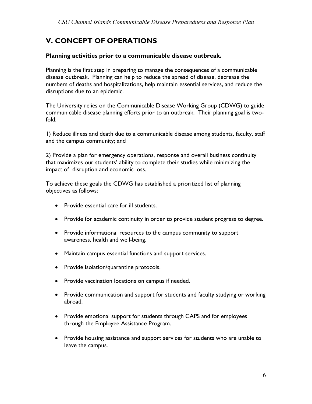# **V. CONCEPT OF OPERATIONS**

#### **Planning activities prior to a communicable disease outbreak.**

Planning is the first step in preparing to manage the consequences of a communicable disease outbreak. Planning can help to reduce the spread of disease, decrease the numbers of deaths and hospitalizations, help maintain essential services, and reduce the disruptions due to an epidemic.

The University relies on the Communicable Disease Working Group (CDWG) to guide communicable disease planning efforts prior to an outbreak. Their planning goal is twofold:

1) Reduce illness and death due to a communicable disease among students, faculty, staff and the campus community; and

2) Provide a plan for emergency operations, response and overall business continuity that maximizes our students' ability to complete their studies while minimizing the impact of disruption and economic loss.

To achieve these goals the CDWG has established a prioritized list of planning objectives as follows:

- Provide essential care for ill students.
- Provide for academic continuity in order to provide student progress to degree.
- Provide informational resources to the campus community to support awareness, health and well-being.
- Maintain campus essential functions and support services.
- Provide isolation/quarantine protocols.
- Provide vaccination locations on campus if needed.
- Provide communication and support for students and faculty studying or working abroad.
- Provide emotional support for students through CAPS and for employees through the Employee Assistance Program.
- Provide housing assistance and support services for students who are unable to leave the campus.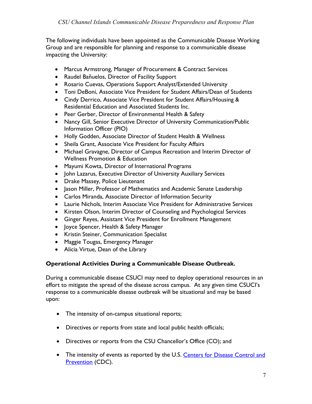The following individuals have been appointed as the Communicable Disease Working Group and are responsible for planning and response to a communicable disease impacting the University:

- Marcus Armstrong, Manager of Procurement & Contract Services
- Raudel Bañuelos, Director of Facility Support
- Rosario Cuevas, Operations Support Analyst/Extended University
- Toni DeBoni, Associate Vice President for Student Affairs/Dean of Students
- Cindy Derrico, Associate Vice President for Student Affairs/Housing & Residential Education and Associated Students Inc.
- Peer Gerber, Director of Environmental Health & Safety
- Nancy Gill, Senior Executive Director of University Communication/Public Information Officer (PIO)
- Holly Godden, Associate Director of Student Health & Wellness
- Sheila Grant, Associate Vice President for Faculty Affairs
- Michael Gravagne, Director of Campus Recreation and Interim Director of Wellness Promotion & Education
- Mayumi Kowta, Director of International Programs
- John Lazarus, Executive Director of University Auxiliary Services
- Drake Massey, Police Lieutenant
- Jason Miller, Professor of Mathematics and Academic Senate Leadership
- Carlos Miranda, Associate Director of Information Security
- Laurie Nichols, Interim Associate Vice President for Administrative Services
- Kirsten Olson, Interim Director of Counseling and Psychological Services
- Ginger Reyes, Assistant Vice President for Enrollment Management
- Joyce Spencer, Health & Safety Manager
- Kristin Steiner, Communication Specialist
- Maggie Tougas, Emergency Manager
- Alicia Virtue, Dean of the Library

### **Operational Activities During a Communicable Disease Outbreak.**

During a communicable disease CSUCI may need to deploy operational resources in an effort to mitigate the spread of the disease across campus. At any given time CSUCI's response to a communicable disease outbreak will be situational and may be based upon:

- The intensity of on-campus situational reports;
- Directives or reports from state and local public health officials;
- Directives or reports from the CSU Chancellor's Office (CO); and
- The intensity of events as reported by the U.S. Centers [for Disease Control](https://www.cdc.gov/) and [Prevention](https://www.cdc.gov/) (CDC).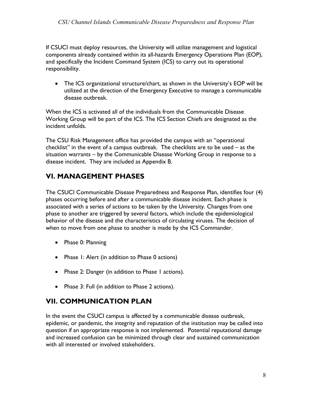If CSUCI must deploy resources, the University will utilize management and logistical components already contained within its all-hazards Emergency Operations Plan (EOP), and specifically the Incident Command System (ICS) to carry out its operational responsibility.

• The ICS organizational structure/chart, as shown in the University's EOP will be utilized at the direction of the Emergency Executive to manage a communicable disease outbreak.

When the ICS is activated all of the individuals from the Communicable Disease Working Group will be part of the ICS. The ICS Section Chiefs are designated as the incident unfolds.

The CSU Risk Management office has provided the campus with an "operational checklist" in the event of a campus outbreak. The checklists are to be used – as the situation warrants – by the Communicable Disease Working Group in response to a disease incident. They are included as Appendix B.

# **VI. MANAGEMENT PHASES**

The CSUCI Communicable Disease Preparedness and Response Plan, identifies four (4) phases occurring before and after a communicable disease incident. Each phase is associated with a series of actions to be taken by the University. Changes from one phase to another are triggered by several factors, which include the epidemiological behavior of the disease and the characteristics of circulating viruses. The decision of when to move from one phase to another is made by the ICS Commander.

- Phase 0: Planning
- Phase I: Alert (in addition to Phase 0 actions)
- Phase 2: Danger (in addition to Phase I actions).
- Phase 3: Full (in addition to Phase 2 actions).

# **VII. COMMUNICATION PLAN**

In the event the CSUCI campus is affected by a communicable disease outbreak, epidemic, or pandemic, the integrity and reputation of the institution may be called into question if an appropriate response is not implemented. Potential reputational damage and increased confusion can be minimized through clear and sustained communication with all interested or involved stakeholders.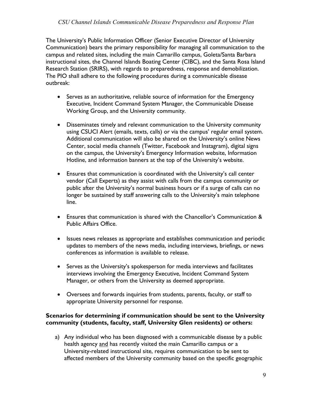#### *CSU Channel Islands Communicable Disease Preparedness and Response Plan*

The University's Public Information Officer (Senior Executive Director of University Communication) bears the primary responsibility for managing all communication to the campus and related sites, including the main Camarillo campus, Goleta/Santa Barbara instructional sites, the Channel Islands Boating Center (CIBC), and the Santa Rosa Island Research Station (SRIRS), with regards to preparedness, response and demobilization. The PIO shall adhere to the following procedures during a communicable disease outbreak:

- Serves as an authoritative, reliable source of information for the Emergency Executive, Incident Command System Manager, the Communicable Disease Working Group, and the University community.
- Disseminates timely and relevant communication to the University community using CSUCI Alert (emails, texts, calls) or via the campus' regular email system. Additional communication will also be shared on the University's online News Center, social media channels (Twitter, Facebook and Instagram), digital signs on the campus, the University's Emergency Information website, Information Hotline, and information banners at the top of the University's website.
- Ensures that communication is coordinated with the University's call center vendor (Call Experts) as they assist with calls from the campus community or public after the University's normal business hours or if a surge of calls can no longer be sustained by staff answering calls to the University's main telephone line.
- Ensures that communication is shared with the Chancellor's Communication & Public Affairs Office.
- Issues news releases as appropriate and establishes communication and periodic updates to members of the news media, including interviews, briefings, or news conferences as information is available to release.
- Serves as the University's spokesperson for media interviews and facilitates interviews involving the Emergency Executive, Incident Command System Manager, or others from the University as deemed appropriate.
- Oversees and forwards inquiries from students, parents, faculty, or staff to appropriate University personnel for response.

#### **Scenarios for determining if communication should be sent to the University community (students, faculty, staff, University Glen residents) or others:**

a) Any individual who has been diagnosed with a communicable disease by a public health agency and has recently visited the main Camarillo campus or a University-related instructional site, requires communication to be sent to affected members of the University community based on the specific geographic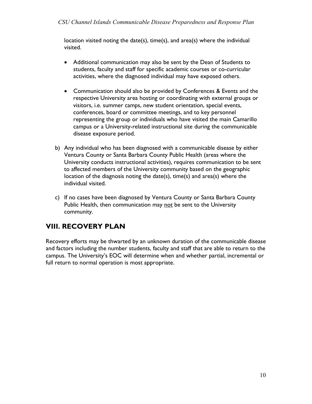location visited noting the date(s), time(s), and area(s) where the individual visited.

- Additional communication may also be sent by the Dean of Students to students, faculty and staff for specific academic courses or co-curricular activities, where the diagnosed individual may have exposed others.
- Communication should also be provided by Conferences & Events and the respective University area hosting or coordinating with external groups or visitors, i.e. summer camps, new student orientation, special events, conferences, board or committee meetings, and to key personnel representing the group or individuals who have visited the main Camarillo campus or a University-related instructional site during the communicable disease exposure period.
- b) Any individual who has been diagnosed with a communicable disease by either Ventura County or Santa Barbara County Public Health (areas where the University conducts instructional activities), requires communication to be sent to affected members of the University community based on the geographic location of the diagnosis noting the date(s), time(s) and area(s) where the individual visited.
- c) If no cases have been diagnosed by Ventura County or Santa Barbara County Public Health, then communication may not be sent to the University community.

# **VIII. RECOVERY PLAN**

Recovery efforts may be thwarted by an unknown duration of the communicable disease and factors including the number students, faculty and staff that are able to return to the campus. The University's EOC will determine when and whether partial, incremental or full return to normal operation is most appropriate.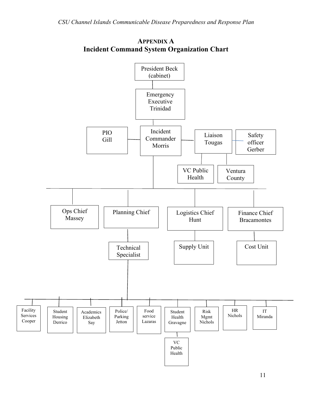

### **APPENDIX A Incident Command System Organization Chart**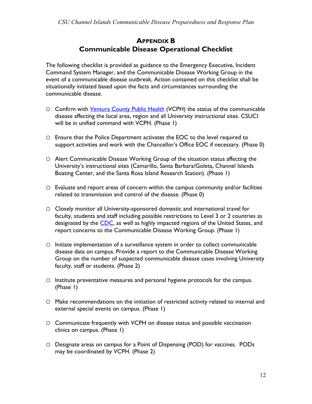### **APPENDIX B Communicable Disease Operational Checklist**

The following checklist is provided as guidance to the Emergency Executive, Incident Command System Manager, and the Communicable Disease Working Group in the event of a communicable disease outbreak. Action contained on this checklist shall be situationally initiated based upon the facts and circumstances surrounding the communicable disease.

- O Confirm with *Ventura County Public Health* (VCPH) the status of the communicable disease affecting the local area, region and all University instructional sites. CSUCI will be in unified command with VCPH. (Phase 1)
- o Ensure that the Police Department activates the EOC to the level required to support activities and work with the Chancellor's Office EOC if necessary. (Phase 0)
- o Alert Communicable Disease Working Group of the situation status affecting the University's instructional sites (Camarillo, Santa Barbara/Goleta, Channel Islands Boating Center, and the Santa Rosa Island Research Station). (Phase 1)
- o Evaluate and report areas of concern within the campus community and/or facilities related to transmission and control of the disease. (Phase 0)
- o Closely monitor all University-sponsored domestic and international travel for faculty, students and staff including possible restrictions to Level 3 or 2 countries as designated by the [CDC,](https://www.cdc.gov/) as well as highly impacted regions of the United States, and report concerns to the Communicable Disease Working Group. (Phase 1)
- o Initiate implementation of a surveillance system in order to collect communicable disease data on campus. Provide a report to the Communicable Disease Working Group on the number of suspected communicable disease cases involving University faculty, staff or students. (Phase 2)
- o Institute preventative measures and personal hygiene protocols for the campus. (Phase 1)
- o Make recommendations on the initiation of restricted activity related to internal and external special events on campus. (Phase 1)
- o Communicate frequently with VCPH on disease status and possible vaccination clinics on campus. (Phase 1)
- o Designate areas on campus for a Point of Dispensing (POD) for vaccines. PODs may be coordinated by VCPH. (Phase 2)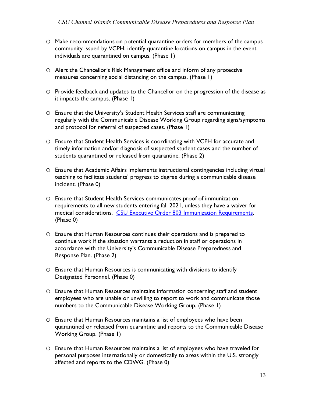- o Make recommendations on potential quarantine orders for members of the campus community issued by VCPH; identify quarantine locations on campus in the event individuals are quarantined on campus. (Phase 1)
- o Alert the Chancellor's Risk Management office and inform of any protective measures concerning social distancing on the campus. (Phase 1)
- o Provide feedback and updates to the Chancellor on the progression of the disease as it impacts the campus. (Phase 1)
- o Ensure that the University's Student Health Services staff are communicating regularly with the Communicable Disease Working Group regarding signs/symptoms and protocol for referral of suspected cases. (Phase 1)
- o Ensure that Student Health Services is coordinating with VCPH for accurate and timely information and/or diagnosis of suspected student cases and the number of students quarantined or released from quarantine. (Phase 2)
- o Ensure that Academic Affairs implements instructional contingencies including virtual teaching to facilitate students' progress to degree during a communicable disease incident. (Phase 0)
- o Ensure that Student Health Services communicates proof of immunization requirements to all new students entering fall 2021, unless they have a waiver for medical considerations. [CSU Executive Order 803 Immunization Requirements.](http://www.calstate.edu/eo/EO-803-revised.pdf) (Phase 0)
- o Ensure that Human Resources continues their operations and is prepared to continue work if the situation warrants a reduction in staff or operations in accordance with the University's Communicable Disease Preparedness and Response Plan. (Phase 2)
- o Ensure that Human Resources is communicating with divisions to identify Designated Personnel. (Phase 0)
- o Ensure that Human Resources maintains information concerning staff and student employees who are unable or unwilling to report to work and communicate those numbers to the Communicable Disease Working Group. (Phase 1)
- o Ensure that Human Resources maintains a list of employees who have been quarantined or released from quarantine and reports to the Communicable Disease Working Group. (Phase 1)
- o Ensure that Human Resources maintains a list of employees who have traveled for personal purposes internationally or domestically to areas within the U.S. strongly affected and reports to the CDWG. (Phase 0)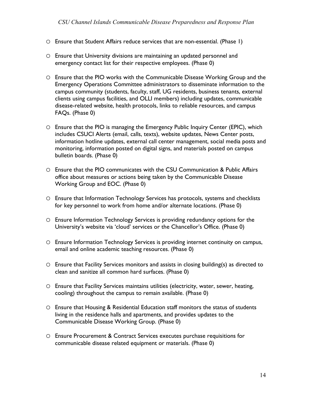- o Ensure that Student Affairs reduce services that are non-essential. (Phase 1)
- o Ensure that University divisions are maintaining an updated personnel and emergency contact list for their respective employees. (Phase 0)
- o Ensure that the PIO works with the Communicable Disease Working Group and the Emergency Operations Committee administrators to disseminate information to the campus community (students, faculty, staff, UG residents, business tenants, external clients using campus facilities, and OLLI members) including updates, communicable disease-related website, health protocols, links to reliable resources, and campus FAQs. (Phase 0)
- o Ensure that the PIO is managing the Emergency Public Inquiry Center (EPIC), which includes CSUCI Alerts (email, calls, texts), website updates, News Center posts, information hotline updates, external call center management, social media posts and monitoring, information posted on digital signs, and materials posted on campus bulletin boards. (Phase 0)
- o Ensure that the PIO communicates with the CSU Communication & Public Affairs office about measures or actions being taken by the Communicable Disease Working Group and EOC. (Phase 0)
- o Ensure that Information Technology Services has protocols, systems and checklists for key personnel to work from home and/or alternate locations. (Phase 0)
- o Ensure Information Technology Services is providing redundancy options for the University's website via 'cloud' services or the Chancellor's Office. (Phase 0)
- o Ensure Information Technology Services is providing internet continuity on campus, email and online academic teaching resources. (Phase 0)
- o Ensure that Facility Services monitors and assists in closing building(s) as directed to clean and sanitize all common hard surfaces. (Phase 0)
- o Ensure that Facility Services maintains utilities (electricity, water, sewer, heating, cooling) throughout the campus to remain available. (Phase 0)
- o Ensure that Housing & Residential Education staff monitors the status of students living in the residence halls and apartments, and provides updates to the Communicable Disease Working Group. (Phase 0)
- o Ensure Procurement & Contract Services executes purchase requisitions for communicable disease related equipment or materials. (Phase 0)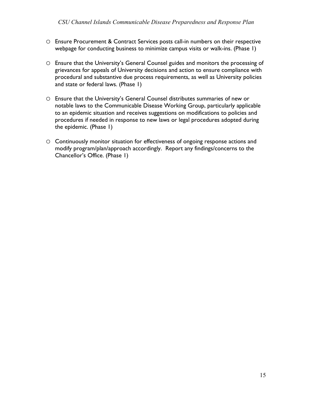- o Ensure Procurement & Contract Services posts call-in numbers on their respective webpage for conducting business to minimize campus visits or walk-ins. (Phase 1)
- o Ensure that the University's General Counsel guides and monitors the processing of grievances for appeals of University decisions and action to ensure compliance with procedural and substantive due process requirements, as well as University policies and state or federal laws. (Phase 1)
- o Ensure that the University's General Counsel distributes summaries of new or notable laws to the Communicable Disease Working Group, particularly applicable to an epidemic situation and receives suggestions on modifications to policies and procedures if needed in response to new laws or legal procedures adopted during the epidemic. (Phase 1)
- o Continuously monitor situation for effectiveness of ongoing response actions and modify program/plan/approach accordingly. Report any findings/concerns to the Chancellor's Office. (Phase 1)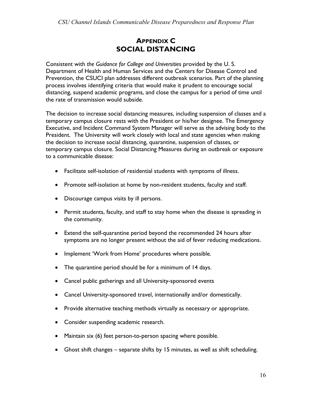## **APPENDIX C SOCIAL DISTANCING**

Consistent with *the Guidance for College and Universitie*s provided by the U. S. Department of Health and Human Services and the Centers for Disease Control and Prevention, the CSUCI plan addresses different outbreak scenarios. Part of the planning process involves identifying criteria that would make it prudent to encourage social distancing, suspend academic programs, and close the campus for a period of time until the rate of transmission would subside.

The decision to increase social distancing measures, including suspension of classes and a temporary campus closure rests with the President or his/her designee. The Emergency Executive, and Incident Command System Manager will serve as the advising body to the President. The University will work closely with local and state agencies when making the decision to increase social distancing, quarantine, suspension of classes, or temporary campus closure. Social Distancing Measures during an outbreak or exposure to a communicable disease:

- Facilitate self-isolation of residential students with symptoms of illness.
- Promote self-isolation at home by non-resident students, faculty and staff.
- Discourage campus visits by ill persons.
- Permit students, faculty, and staff to stay home when the disease is spreading in the community.
- Extend the self-quarantine period beyond the recommended 24 hours after symptoms are no longer present without the aid of fever reducing medications.
- Implement 'Work from Home' procedures where possible.
- The quarantine period should be for a minimum of 14 days.
- Cancel public gatherings and all University-sponsored events
- Cancel University-sponsored travel, internationally and/or domestically.
- Provide alternative teaching methods virtually as necessary or appropriate.
- Consider suspending academic research.
- Maintain six (6) feet person-to-person spacing where possible.
- Ghost shift changes separate shifts by 15 minutes, as well as shift scheduling.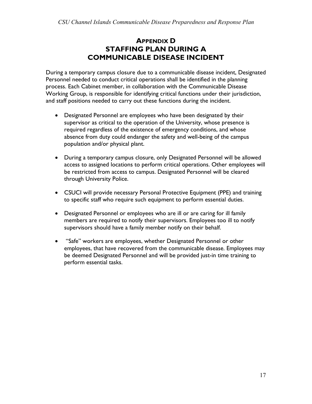## **APPENDIX D STAFFING PLAN DURING A COMMUNICABLE DISEASE INCIDENT**

During a temporary campus closure due to a communicable disease incident, Designated Personnel needed to conduct critical operations shall be identified in the planning process. Each Cabinet member, in collaboration with the Communicable Disease Working Group, is responsible for identifying critical functions under their jurisdiction, and staff positions needed to carry out these functions during the incident.

- Designated Personnel are employees who have been designated by their supervisor as critical to the operation of the University, whose presence is required regardless of the existence of emergency conditions, and whose absence from duty could endanger the safety and well-being of the campus population and/or physical plant.
- During a temporary campus closure, only Designated Personnel will be allowed access to assigned locations to perform critical operations. Other employees will be restricted from access to campus. Designated Personnel will be cleared through University Police.
- CSUCI will provide necessary Personal Protective Equipment (PPE) and training to specific staff who require such equipment to perform essential duties.
- Designated Personnel or employees who are ill or are caring for ill family members are required to notify their supervisors. Employees too ill to notify supervisors should have a family member notify on their behalf.
- "Safe" workers are employees, whether Designated Personnel or other employees, that have recovered from the communicable disease. Employees may be deemed Designated Personnel and will be provided just-in time training to perform essential tasks.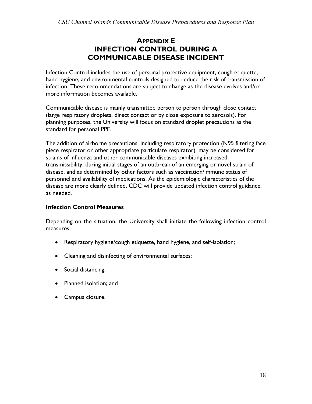## **APPENDIX E INFECTION CONTROL DURING A COMMUNICABLE DISEASE INCIDENT**

Infection Control includes the use of personal protective equipment, cough etiquette, hand hygiene, and environmental controls designed to reduce the risk of transmission of infection. These recommendations are subject to change as the disease evolves and/or more information becomes available.

Communicable disease is mainly transmitted person to person through close contact (large respiratory droplets, direct contact or by close exposure to aerosols). For planning purposes, the University will focus on standard droplet precautions as the standard for personal PPE.

The addition of airborne precautions, including respiratory protection (N95 filtering face piece respirator or other appropriate particulate respirator), may be considered for strains of influenza and other communicable diseases exhibiting increased transmissibility, during initial stages of an outbreak of an emerging or novel strain of disease, and as determined by other factors such as vaccination/immune status of personnel and availability of medications. As the epidemiologic characteristics of the disease are more clearly defined, CDC will provide updated infection control guidance, as needed.

#### **Infection Control Measures**

Depending on the situation, the University shall initiate the following infection control measures:

- Respiratory hygiene/cough etiquette, hand hygiene, and self-isolation;
- Cleaning and disinfecting of environmental surfaces;
- Social distancing;
- Planned isolation; and
- Campus closure.